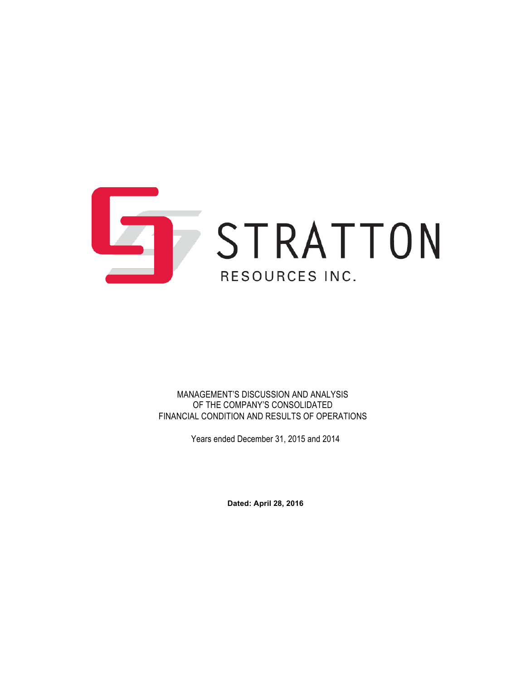

MANAGEMENT'S DISCUSSION AND ANALYSIS OF THE COMPANY'S CONSOLIDATED FINANCIAL CONDITION AND RESULTS OF OPERATIONS

Years ended December 31, 2015 and 2014

**Dated: April 28, 2016**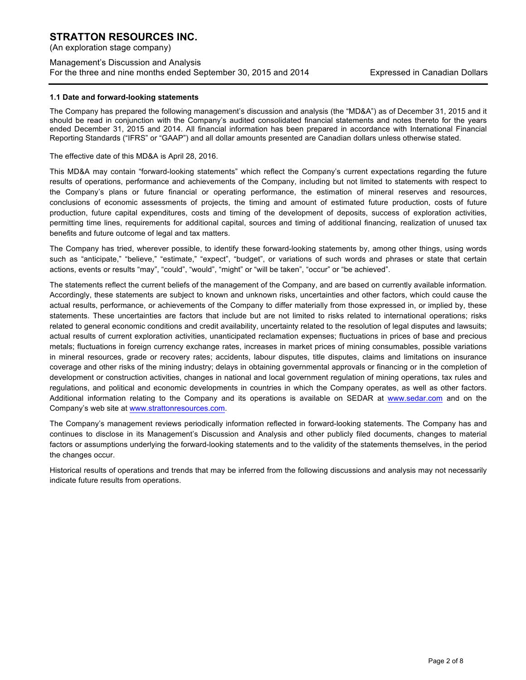(An exploration stage company)

## Management's Discussion and Analysis For the three and nine months ended September 30, 2015 and 2014 Expressed in Canadian Dollars

#### **1.1 Date and forward-looking statements**

The Company has prepared the following management's discussion and analysis (the "MD&A") as of December 31, 2015 and it should be read in conjunction with the Company's audited consolidated financial statements and notes thereto for the years ended December 31, 2015 and 2014. All financial information has been prepared in accordance with International Financial Reporting Standards ("IFRS" or "GAAP") and all dollar amounts presented are Canadian dollars unless otherwise stated.

The effective date of this MD&A is April 28, 2016.

This MD&A may contain "forward-looking statements" which reflect the Company's current expectations regarding the future results of operations, performance and achievements of the Company, including but not limited to statements with respect to the Company's plans or future financial or operating performance, the estimation of mineral reserves and resources, conclusions of economic assessments of projects, the timing and amount of estimated future production, costs of future production, future capital expenditures, costs and timing of the development of deposits, success of exploration activities, permitting time lines, requirements for additional capital, sources and timing of additional financing, realization of unused tax benefits and future outcome of legal and tax matters.

The Company has tried, wherever possible, to identify these forward-looking statements by, among other things, using words such as "anticipate," "believe," "estimate," "expect", "budget", or variations of such words and phrases or state that certain actions, events or results "may", "could", "would", "might" or "will be taken", "occur" or "be achieved".

The statements reflect the current beliefs of the management of the Company, and are based on currently available information. Accordingly, these statements are subject to known and unknown risks, uncertainties and other factors, which could cause the actual results, performance, or achievements of the Company to differ materially from those expressed in, or implied by, these statements. These uncertainties are factors that include but are not limited to risks related to international operations; risks related to general economic conditions and credit availability, uncertainty related to the resolution of legal disputes and lawsuits; actual results of current exploration activities, unanticipated reclamation expenses; fluctuations in prices of base and precious metals; fluctuations in foreign currency exchange rates, increases in market prices of mining consumables, possible variations in mineral resources, grade or recovery rates; accidents, labour disputes, title disputes, claims and limitations on insurance coverage and other risks of the mining industry; delays in obtaining governmental approvals or financing or in the completion of development or construction activities, changes in national and local government regulation of mining operations, tax rules and regulations, and political and economic developments in countries in which the Company operates, as well as other factors. Additional information relating to the Company and its operations is available on SEDAR at www.sedar.com and on the Company's web site at www.strattonresources.com.

The Company's management reviews periodically information reflected in forward-looking statements. The Company has and continues to disclose in its Management's Discussion and Analysis and other publicly filed documents, changes to material factors or assumptions underlying the forward-looking statements and to the validity of the statements themselves, in the period the changes occur.

Historical results of operations and trends that may be inferred from the following discussions and analysis may not necessarily indicate future results from operations.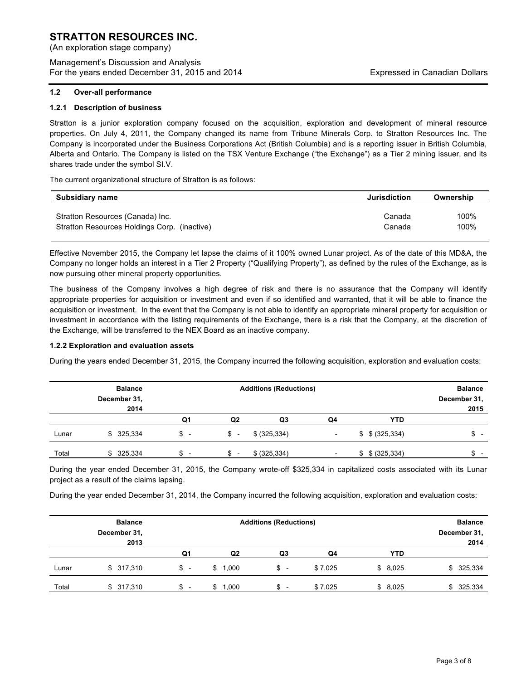(An exploration stage company)

Management's Discussion and Analysis For the years ended December 31, 2015 and 2014 Expressed in Canadian Dollars

## **1.2.1 Description of business**

Stratton is a junior exploration company focused on the acquisition, exploration and development of mineral resource properties. On July 4, 2011, the Company changed its name from Tribune Minerals Corp. to Stratton Resources Inc. The Company is incorporated under the Business Corporations Act (British Columbia) and is a reporting issuer in British Columbia, Alberta and Ontario. The Company is listed on the TSX Venture Exchange ("the Exchange") as a Tier 2 mining issuer, and its shares trade under the symbol SI.V.

The current organizational structure of Stratton is as follows:

| Subsidiary name                              | <b>Jurisdiction</b> | Ownership |
|----------------------------------------------|---------------------|-----------|
| Stratton Resources (Canada) Inc.             | Canada              | 100%      |
| Stratton Resources Holdings Corp. (inactive) | Canada              | 100%      |

Effective November 2015, the Company let lapse the claims of it 100% owned Lunar project. As of the date of this MD&A, the Company no longer holds an interest in a Tier 2 Property ("Qualifying Property"), as defined by the rules of the Exchange, as is now pursuing other mineral property opportunities.

The business of the Company involves a high degree of risk and there is no assurance that the Company will identify appropriate properties for acquisition or investment and even if so identified and warranted, that it will be able to finance the acquisition or investment. In the event that the Company is not able to identify an appropriate mineral property for acquisition or investment in accordance with the listing requirements of the Exchange, there is a risk that the Company, at the discretion of the Exchange, will be transferred to the NEX Board as an inactive company.

### **1.2.2 Exploration and evaluation assets**

During the years ended December 31, 2015, the Company incurred the following acquisition, exploration and evaluation costs:

|       | <b>Balance</b><br>December 31, | <b>Additions (Reductions)</b> |                |               | <b>Balance</b><br>December 31, |                     |      |
|-------|--------------------------------|-------------------------------|----------------|---------------|--------------------------------|---------------------|------|
|       | 2014                           |                               |                |               |                                |                     | 2015 |
|       |                                | Q1                            | Q <sub>2</sub> | Q3            | Q4                             | <b>YTD</b>          |      |
| Lunar | \$325,334                      | \$                            | $s -$          | \$ (325, 334) | $\overline{\phantom{0}}$       | $$$ $$$ $(325,334)$ | \$   |
| Total | 325,334<br>\$.                 | $\overline{\phantom{0}}$      |                | \$ (325, 334) |                                | \$ (325, 334)<br>\$ | \$.  |

During the year ended December 31, 2015, the Company wrote-off \$325,334 in capitalized costs associated with its Lunar project as a result of the claims lapsing.

During the year ended December 31, 2014, the Company incurred the following acquisition, exploration and evaluation costs:

|       | <b>Balance</b><br>December 31, | <b>Additions (Reductions)</b>  |                |                          |         | <b>Balance</b><br>December 31, |               |
|-------|--------------------------------|--------------------------------|----------------|--------------------------|---------|--------------------------------|---------------|
|       | 2013                           |                                |                |                          |         |                                | 2014          |
|       |                                | Q1                             | Q <sub>2</sub> | Q3                       | Q4      | <b>YTD</b>                     |               |
| Lunar | \$317,310                      | \$<br>$\overline{\phantom{a}}$ | \$1,000        | \$-                      | \$7,025 | \$8,025                        | \$325,334     |
| Total | \$317,310                      | \$<br>$\overline{\phantom{0}}$ | 1.000<br>\$    | $\overline{\phantom{a}}$ | \$7,025 | \$8,025                        | 325,334<br>\$ |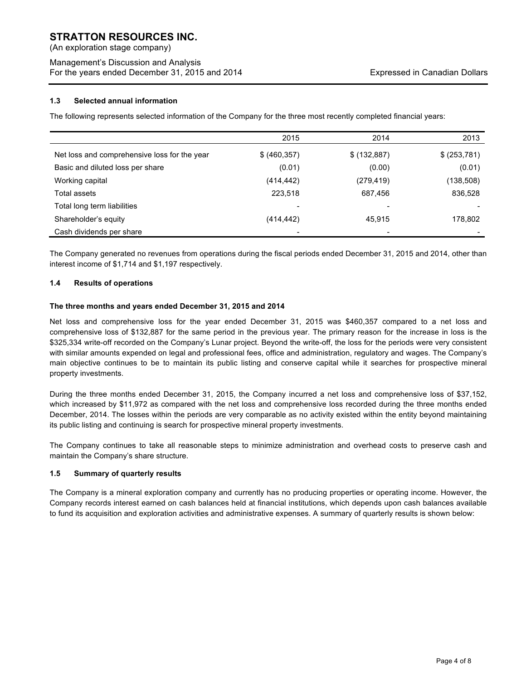(An exploration stage company)

## Management's Discussion and Analysis For the years ended December 31, 2015 and 2014 Expressed in Canadian Dollars

## **1.3 Selected annual information**

The following represents selected information of the Company for the three most recently completed financial years:

|                                              | 2015                     | 2014         | 2013         |
|----------------------------------------------|--------------------------|--------------|--------------|
| Net loss and comprehensive loss for the year | \$ (460, 357)            | \$ (132,887) | \$ (253,781) |
| Basic and diluted loss per share             | (0.01)                   | (0.00)       | (0.01)       |
| Working capital                              | (414, 442)               | (279,419)    | (138,508)    |
| Total assets                                 | 223,518                  | 687,456      | 836,528      |
| Total long term liabilities                  | $\overline{\phantom{0}}$ |              |              |
| Shareholder's equity                         | (414, 442)               | 45,915       | 178,802      |
| Cash dividends per share                     |                          |              |              |

The Company generated no revenues from operations during the fiscal periods ended December 31, 2015 and 2014, other than interest income of \$1,714 and \$1,197 respectively.

## **1.4 Results of operations**

## **The three months and years ended December 31, 2015 and 2014**

Net loss and comprehensive loss for the year ended December 31, 2015 was \$460,357 compared to a net loss and comprehensive loss of \$132,887 for the same period in the previous year. The primary reason for the increase in loss is the \$325,334 write-off recorded on the Company's Lunar project. Beyond the write-off, the loss for the periods were very consistent with similar amounts expended on legal and professional fees, office and administration, regulatory and wages. The Company's main objective continues to be to maintain its public listing and conserve capital while it searches for prospective mineral property investments.

During the three months ended December 31, 2015, the Company incurred a net loss and comprehensive loss of \$37,152, which increased by \$11,972 as compared with the net loss and comprehensive loss recorded during the three months ended December, 2014. The losses within the periods are very comparable as no activity existed within the entity beyond maintaining its public listing and continuing is search for prospective mineral property investments.

The Company continues to take all reasonable steps to minimize administration and overhead costs to preserve cash and maintain the Company's share structure.

### **1.5 Summary of quarterly results**

The Company is a mineral exploration company and currently has no producing properties or operating income. However, the Company records interest earned on cash balances held at financial institutions, which depends upon cash balances available to fund its acquisition and exploration activities and administrative expenses. A summary of quarterly results is shown below: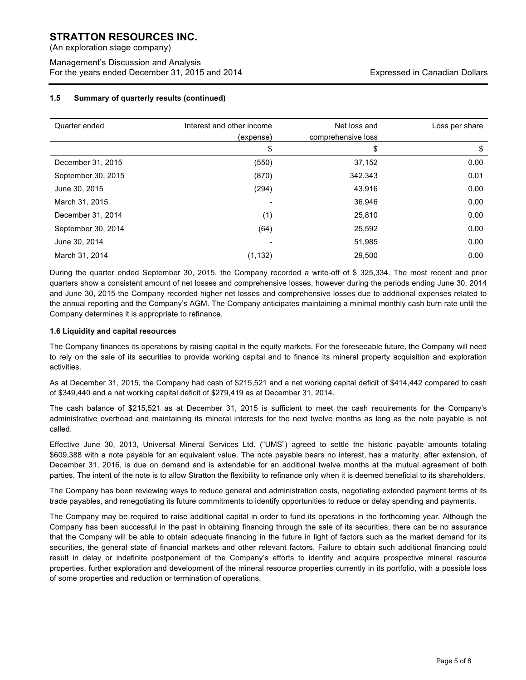(An exploration stage company)

Management's Discussion and Analysis For the years ended December 31, 2015 and 2014 Expressed in Canadian Dollars

## **1.5 Summary of quarterly results (continued)**

| Quarter ended      | Interest and other income<br>(expense) | Net loss and<br>comprehensive loss | Loss per share |
|--------------------|----------------------------------------|------------------------------------|----------------|
|                    | \$                                     | \$                                 | \$             |
| December 31, 2015  | (550)                                  | 37,152                             | 0.00           |
| September 30, 2015 | (870)                                  | 342,343                            | 0.01           |
| June 30, 2015      | (294)                                  | 43,916                             | 0.00           |
| March 31, 2015     |                                        | 36,946                             | 0.00           |
| December 31, 2014  | (1)                                    | 25,810                             | 0.00           |
| September 30, 2014 | (64)                                   | 25,592                             | 0.00           |
| June 30, 2014      |                                        | 51,985                             | 0.00           |
| March 31, 2014     | (1, 132)                               | 29.500                             | 0.00           |

During the quarter ended September 30, 2015, the Company recorded a write-off of \$ 325,334. The most recent and prior quarters show a consistent amount of net losses and comprehensive losses, however during the periods ending June 30, 2014 and June 30, 2015 the Company recorded higher net losses and comprehensive losses due to additional expenses related to the annual reporting and the Company's AGM. The Company anticipates maintaining a minimal monthly cash burn rate until the Company determines it is appropriate to refinance.

## **1.6 Liquidity and capital resources**

The Company finances its operations by raising capital in the equity markets. For the foreseeable future, the Company will need to rely on the sale of its securities to provide working capital and to finance its mineral property acquisition and exploration activities.

As at December 31, 2015, the Company had cash of \$215,521 and a net working capital deficit of \$414,442 compared to cash of \$349,440 and a net working capital deficit of \$279,419 as at December 31, 2014.

The cash balance of \$215,521 as at December 31, 2015 is sufficient to meet the cash requirements for the Company's administrative overhead and maintaining its mineral interests for the next twelve months as long as the note payable is not called.

Effective June 30, 2013, Universal Mineral Services Ltd. ("UMS") agreed to settle the historic payable amounts totaling \$609,388 with a note payable for an equivalent value. The note payable bears no interest, has a maturity, after extension, of December 31, 2016, is due on demand and is extendable for an additional twelve months at the mutual agreement of both parties. The intent of the note is to allow Stratton the flexibility to refinance only when it is deemed beneficial to its shareholders.

The Company has been reviewing ways to reduce general and administration costs, negotiating extended payment terms of its trade payables, and renegotiating its future commitments to identify opportunities to reduce or delay spending and payments.

The Company may be required to raise additional capital in order to fund its operations in the forthcoming year. Although the Company has been successful in the past in obtaining financing through the sale of its securities, there can be no assurance that the Company will be able to obtain adequate financing in the future in light of factors such as the market demand for its securities, the general state of financial markets and other relevant factors. Failure to obtain such additional financing could result in delay or indefinite postponement of the Company's efforts to identify and acquire prospective mineral resource properties, further exploration and development of the mineral resource properties currently in its portfolio, with a possible loss of some properties and reduction or termination of operations.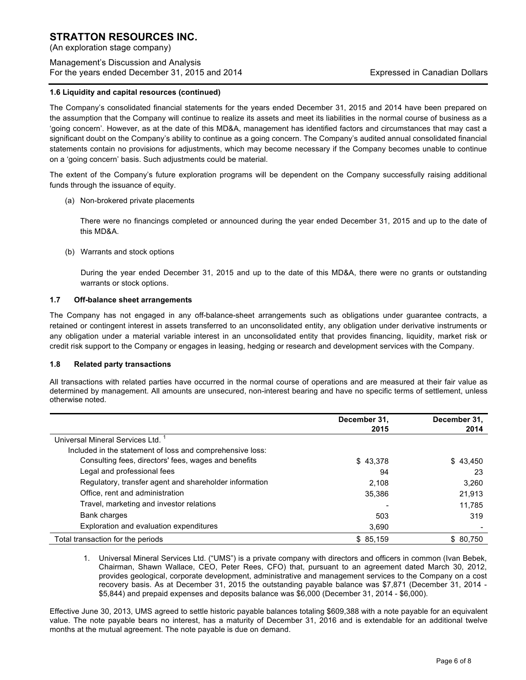(An exploration stage company)

## Management's Discussion and Analysis For the years ended December 31, 2015 and 2014 Expressed in Canadian Dollars

## **1.6 Liquidity and capital resources (continued)**

The Company's consolidated financial statements for the years ended December 31, 2015 and 2014 have been prepared on the assumption that the Company will continue to realize its assets and meet its liabilities in the normal course of business as a 'going concern'. However, as at the date of this MD&A, management has identified factors and circumstances that may cast a significant doubt on the Company's ability to continue as a going concern. The Company's audited annual consolidated financial statements contain no provisions for adjustments, which may become necessary if the Company becomes unable to continue on a 'going concern' basis. Such adjustments could be material.

The extent of the Company's future exploration programs will be dependent on the Company successfully raising additional funds through the issuance of equity.

(a) Non-brokered private placements

There were no financings completed or announced during the year ended December 31, 2015 and up to the date of this MD&A.

(b) Warrants and stock options

During the year ended December 31, 2015 and up to the date of this MD&A, there were no grants or outstanding warrants or stock options.

## **1.7 Off-balance sheet arrangements**

The Company has not engaged in any off-balance-sheet arrangements such as obligations under guarantee contracts, a retained or contingent interest in assets transferred to an unconsolidated entity, any obligation under derivative instruments or any obligation under a material variable interest in an unconsolidated entity that provides financing, liquidity, market risk or credit risk support to the Company or engages in leasing, hedging or research and development services with the Company.

### **1.8 Related party transactions**

All transactions with related parties have occurred in the normal course of operations and are measured at their fair value as determined by management. All amounts are unsecured, non-interest bearing and have no specific terms of settlement, unless otherwise noted.

|                                                           | December 31, | December 31, |
|-----------------------------------------------------------|--------------|--------------|
|                                                           | 2015         | 2014         |
| Universal Mineral Services Ltd.                           |              |              |
| Included in the statement of loss and comprehensive loss: |              |              |
| Consulting fees, directors' fees, wages and benefits      | \$43,378     | \$43,450     |
| Legal and professional fees                               | 94           | 23           |
| Regulatory, transfer agent and shareholder information    | 2,108        | 3,260        |
| Office, rent and administration                           | 35,386       | 21,913       |
| Travel, marketing and investor relations                  |              | 11.785       |
| Bank charges                                              | 503          | 319          |
| Exploration and evaluation expenditures                   | 3,690        |              |
| Total transaction for the periods                         | \$85,159     | \$ 80.750    |

1. Universal Mineral Services Ltd. ("UMS") is a private company with directors and officers in common (Ivan Bebek, Chairman, Shawn Wallace, CEO, Peter Rees, CFO) that, pursuant to an agreement dated March 30, 2012, provides geological, corporate development, administrative and management services to the Company on a cost recovery basis. As at December 31, 2015 the outstanding payable balance was \$7,871 (December 31, 2014 - \$5,844) and prepaid expenses and deposits balance was \$6,000 (December 31, 2014 - \$6,000).

Effective June 30, 2013, UMS agreed to settle historic payable balances totaling \$609,388 with a note payable for an equivalent value. The note payable bears no interest, has a maturity of December 31, 2016 and is extendable for an additional twelve months at the mutual agreement. The note payable is due on demand.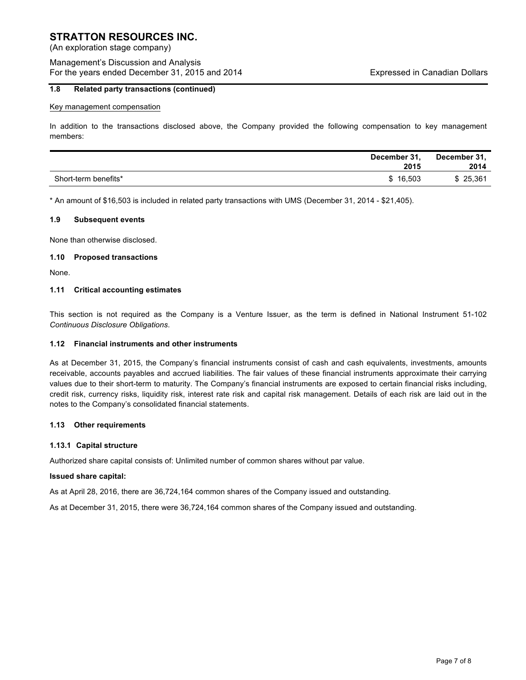(An exploration stage company)

## Management's Discussion and Analysis For the years ended December 31, 2015 and 2014 Expressed in Canadian Dollars

## **1.8 Related party transactions (continued)**

#### Key management compensation

In addition to the transactions disclosed above, the Company provided the following compensation to key management members:

|                      | December 31.<br>2015 | December 31,<br>2014 |
|----------------------|----------------------|----------------------|
| Short-term benefits* | \$16.503             | \$25,361             |

\* An amount of \$16,503 is included in related party transactions with UMS (December 31, 2014 - \$21,405).

#### **1.9 Subsequent events**

None than otherwise disclosed.

#### **1.10 Proposed transactions**

None.

### **1.11 Critical accounting estimates**

This section is not required as the Company is a Venture Issuer, as the term is defined in National Instrument 51-102 *Continuous Disclosure Obligations*.

### **1.12 Financial instruments and other instruments**

As at December 31, 2015, the Company's financial instruments consist of cash and cash equivalents, investments, amounts receivable, accounts payables and accrued liabilities. The fair values of these financial instruments approximate their carrying values due to their short-term to maturity. The Company's financial instruments are exposed to certain financial risks including, credit risk, currency risks, liquidity risk, interest rate risk and capital risk management. Details of each risk are laid out in the notes to the Company's consolidated financial statements.

### **1.13 Other requirements**

### **1.13.1 Capital structure**

Authorized share capital consists of: Unlimited number of common shares without par value.

## **Issued share capital:**

As at April 28, 2016, there are 36,724,164 common shares of the Company issued and outstanding.

As at December 31, 2015, there were 36,724,164 common shares of the Company issued and outstanding.